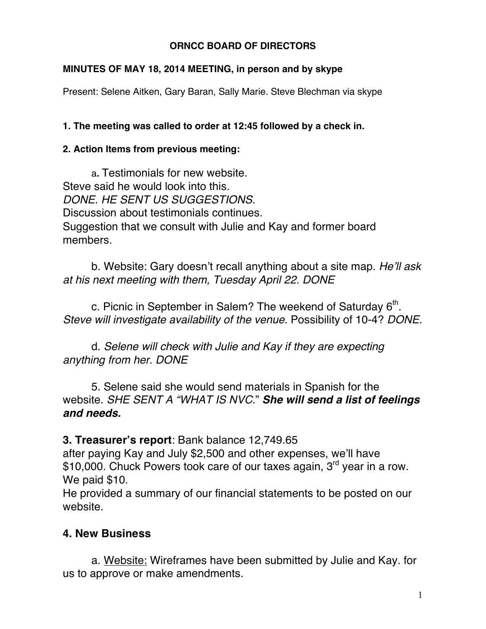#### **ORNCC BOARD OF DIRECTORS**

#### **MINUTES OF MAY 18, 2014 MEETING, in person and by skype**

Present: Selene Aitken, Gary Baran, Sally Marie. Steve Blechman via skype

#### **1. The meeting was called to order at 12:45 followed by a check in.**

#### **2. Action Items from previous meeting:**

a**.** Testimonials for new website. Steve said he would look into this. *DONE. HE SENT US SUGGESTIONS.* Discussion about testimonials continues. Suggestion that we consult with Julie and Kay and former board members.

b. Website: Gary doesn't recall anything about a site map. *He'll ask at his next meeting with them, Tuesday April 22. DONE*

c. Picnic in September in Salem? The weekend of Saturday  $6<sup>th</sup>$ . *Steve will investigate availability of the venue*. Possibility of 10-4? *DONE.*

d. *Selene will check with Julie and Kay if they are expecting anything from her. DONE*

5. Selene said she would send materials in Spanish for the website. *SHE SENT A "WHAT IS NVC*." *She will send a list of feelings and needs.*

**3. Treasurer's report**: Bank balance 12,749.65

after paying Kay and July \$2,500 and other expenses, we'll have \$10,000. Chuck Powers took care of our taxes again, 3<sup>rd</sup> year in a row. We paid \$10.

He provided a summary of our financial statements to be posted on our website.

### **4. New Business**

a. Website: Wireframes have been submitted by Julie and Kay. for us to approve or make amendments.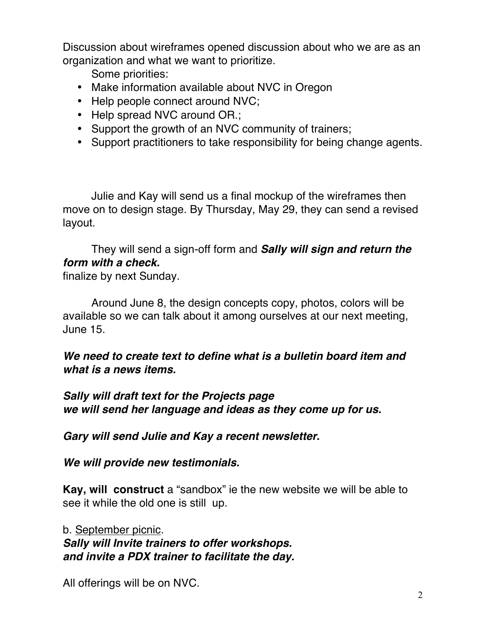Discussion about wireframes opened discussion about who we are as an organization and what we want to prioritize.

Some priorities:

- Make information available about NVC in Oregon
- Help people connect around NVC;
- Help spread NVC around OR.;
- Support the growth of an NVC community of trainers;
- Support practitioners to take responsibility for being change agents.

Julie and Kay will send us a final mockup of the wireframes then move on to design stage. By Thursday, May 29, they can send a revised layout.

They will send a sign-off form and *Sally will sign and return the form with a check.* 

finalize by next Sunday.

Around June 8, the design concepts copy, photos, colors will be available so we can talk about it among ourselves at our next meeting, June 15.

### *We need to create text to define what is a bulletin board item and what is a news items.*

*Sally will draft text for the Projects page we will send her language and ideas as they come up for us.*

*Gary will send Julie and Kay a recent newsletter.*

*We will provide new testimonials.*

**Kay, will construct** a "sandbox" ie the new website we will be able to see it while the old one is still up.

b. September picnic. *Sally will Invite trainers to offer workshops. and invite a PDX trainer to facilitate the day.* 

All offerings will be on NVC.